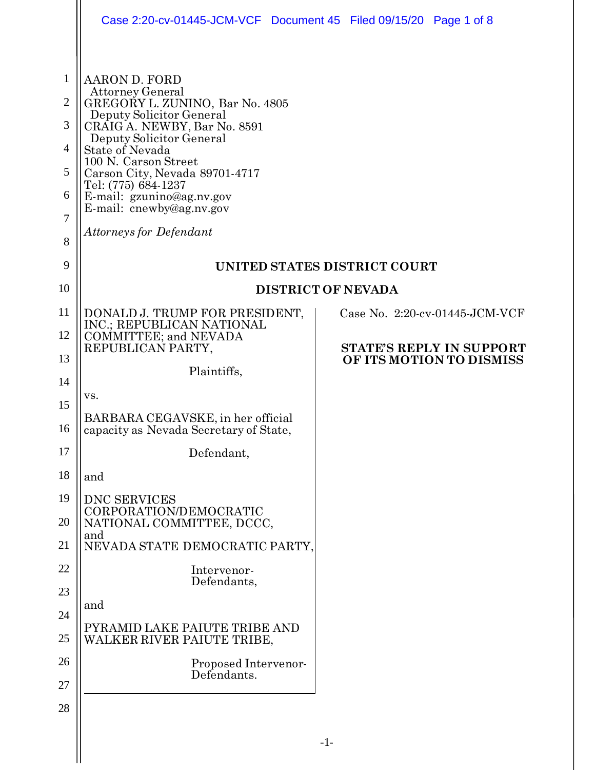|                | Case 2:20-cv-01445-JCM-VCF Document 45 Filed 09/15/20 Page 1 of 8                                                                                                                                                     |  |  |                                   |  |
|----------------|-----------------------------------------------------------------------------------------------------------------------------------------------------------------------------------------------------------------------|--|--|-----------------------------------|--|
| $\mathbf{1}$   | <b>AARON D. FORD</b><br><b>Attorney General</b>                                                                                                                                                                       |  |  |                                   |  |
| $\overline{2}$ | GREGORY L. ZUNINO, Bar No. 4805<br>Deputy Solicitor General                                                                                                                                                           |  |  |                                   |  |
| 3              | CRAIG A. NEWBY, Bar No. 8591<br>Deputy Solicitor General<br>State of Nevada<br>100 N. Carson Street<br>Carson City, Nevada 89701-4717<br>Tel: (775) 684-1237<br>E-mail: gzunino@ag.nv.gov<br>E-mail: cnewby@ag.nv.gov |  |  |                                   |  |
| 4              |                                                                                                                                                                                                                       |  |  |                                   |  |
| 5              |                                                                                                                                                                                                                       |  |  |                                   |  |
| 6              |                                                                                                                                                                                                                       |  |  |                                   |  |
| 7              | Attorneys for Defendant                                                                                                                                                                                               |  |  |                                   |  |
| 8              |                                                                                                                                                                                                                       |  |  |                                   |  |
| 9              | UNITED STATES DISTRICT COURT                                                                                                                                                                                          |  |  |                                   |  |
| 10             | <b>DISTRICT OF NEVADA</b>                                                                                                                                                                                             |  |  |                                   |  |
| 11             | DONALD J. TRUMP FOR PRESIDENT,<br>INC.; REPUBLICAN NATIONAL                                                                                                                                                           |  |  | Case No. $2:20$ -cv-01445-JCM-VCF |  |
| 12             | COMMITTEE; and NEVADA<br>REPUBLICAN PARTY,                                                                                                                                                                            |  |  | <b>STATE'S REPLY IN SUPPORT</b>   |  |
| 13             | Plaintiffs,                                                                                                                                                                                                           |  |  | OF ITS MOTION TO DISMISS          |  |
| 14             | VS.                                                                                                                                                                                                                   |  |  |                                   |  |
| 15             | BARBARA CEGAVSKE, in her official                                                                                                                                                                                     |  |  |                                   |  |
| 16             | capacity as Nevada Secretary of State,                                                                                                                                                                                |  |  |                                   |  |
| 17             | Defendant,                                                                                                                                                                                                            |  |  |                                   |  |
| 18             | and                                                                                                                                                                                                                   |  |  |                                   |  |
| 19             | <b>DNC SERVICES</b><br>CORPORATION/DEMOCRATIC                                                                                                                                                                         |  |  |                                   |  |
| 20             | NATIONAL COMMITTEE, DCCC,<br>and                                                                                                                                                                                      |  |  |                                   |  |
| 21             | NEVADA STATE DEMOCRATIC PARTY,                                                                                                                                                                                        |  |  |                                   |  |
| 22             | Intervenor-<br>Defendants,                                                                                                                                                                                            |  |  |                                   |  |
| 23             | and                                                                                                                                                                                                                   |  |  |                                   |  |
| 24             | PYRAMID LAKE PAIUTE TRIBE AND                                                                                                                                                                                         |  |  |                                   |  |
| 25             | WALKER RIVER PAIUTE TRIBE,                                                                                                                                                                                            |  |  |                                   |  |
| 26             | Proposed Intervenor-<br>Defendants.                                                                                                                                                                                   |  |  |                                   |  |
| 27             |                                                                                                                                                                                                                       |  |  |                                   |  |
| 28             |                                                                                                                                                                                                                       |  |  |                                   |  |
|                |                                                                                                                                                                                                                       |  |  |                                   |  |

 $\begin{array}{c} \hline \end{array}$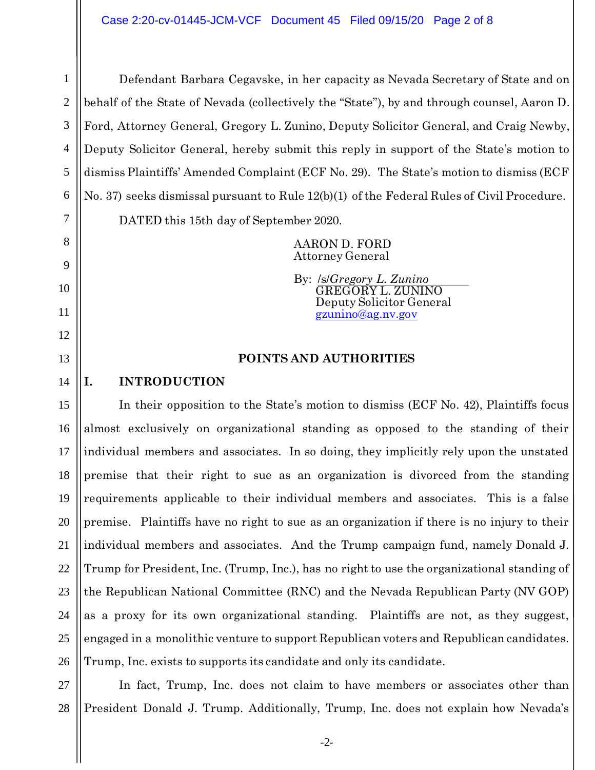Defendant Barbara Cegavske, in her capacity as Nevada Secretary of State and on behalf of the State of Nevada (collectively the "State"), by and through counsel, Aaron D. Ford, Attorney General, Gregory L. Zunino, Deputy Solicitor General, and Craig Newby, Deputy Solicitor General, hereby submit this reply in support of the State's motion to dismiss Plaintiffs' Amended Complaint (ECF No. 29). The State's motion to dismiss (ECF No. 37) seeks dismissal pursuant to Rule 12(b)(1) of the Federal Rules of Civil Procedure. DATED this 15th day of September 2020.

> AARON D. FORD Attorney General

By: /s/*Gregory L. Zunino* GREGORY L. ZUNINO Deputy Solicitor General [gzunino@ag.nv.gov](mailto:gzunino@ag.nv.gov)

## **POINTS AND AUTHORITIES**

# **I. INTRODUCTION**

1

2

3

4

5

6

7

8

9

10

11

12

13

14

15

17

18

19

21

25

16 20 22 23 24 26 In their opposition to the State's motion to dismiss (ECF No. 42), Plaintiffs focus almost exclusively on organizational standing as opposed to the standing of their individual members and associates. In so doing, they implicitly rely upon the unstated premise that their right to sue as an organization is divorced from the standing requirements applicable to their individual members and associates. This is a false premise. Plaintiffs have no right to sue as an organization if there is no injury to their individual members and associates. And the Trump campaign fund, namely Donald J. Trump for President, Inc. (Trump, Inc.), has no right to use the organizational standing of the Republican National Committee (RNC) and the Nevada Republican Party (NV GOP) as a proxy for its own organizational standing. Plaintiffs are not, as they suggest, engaged in a monolithic venture to support Republican voters and Republican candidates. Trump, Inc. exists to supports its candidate and only its candidate.

27 28 In fact, Trump, Inc. does not claim to have members or associates other than President Donald J. Trump. Additionally, Trump, Inc. does not explain how Nevada's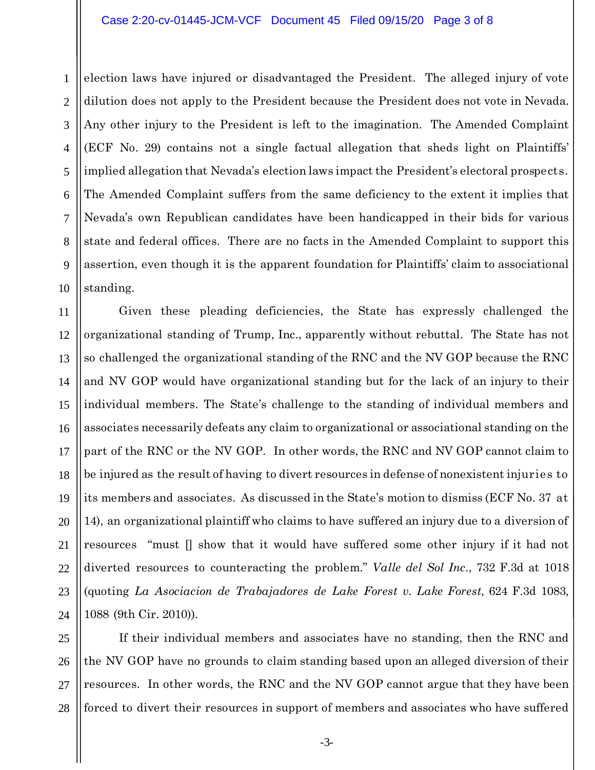#### Case 2:20-cv-01445-JCM-VCF Document 45 Filed 09/15/20 Page 3 of 8

1 2 3 4 5 6 7 8 9 10 election laws have injured or disadvantaged the President. The alleged injury of vote dilution does not apply to the President because the President does not vote in Nevada. Any other injury to the President is left to the imagination. The Amended Complaint (ECF No. 29) contains not a single factual allegation that sheds light on Plaintiffs' implied allegation that Nevada's election laws impact the President's electoral prospects. The Amended Complaint suffers from the same deficiency to the extent it implies that Nevada's own Republican candidates have been handicapped in their bids for various state and federal offices. There are no facts in the Amended Complaint to support this assertion, even though it is the apparent foundation for Plaintiffs' claim to associational standing.

11 12 13 14 15 16 17 18 19 20 21 22 23 24 Given these pleading deficiencies, the State has expressly challenged the organizational standing of Trump, Inc., apparently without rebuttal. The State has not so challenged the organizational standing of the RNC and the NV GOP because the RNC and NV GOP would have organizational standing but for the lack of an injury to their individual members. The State's challenge to the standing of individual members and associates necessarily defeats any claim to organizational or associational standing on the part of the RNC or the NV GOP. In other words, the RNC and NV GOP cannot claim to be injured as the result of having to divert resources in defense of nonexistent injuries to its members and associates. As discussed in the State's motion to dismiss (ECF No. 37 at 14), an organizational plaintiff who claims to have suffered an injury due to a diversion of resources "must [] show that it would have suffered some other injury if it had not diverted resources to counteracting the problem." *Valle del Sol Inc.*, 732 F.3d at 1018 (quoting *La Asociacion de Trabajadores de Lake Forest v. Lake Forest*, 624 F.3d 1083, 1088 (9th Cir. 2010)).

25 26 27 28 If their individual members and associates have no standing, then the RNC and the NV GOP have no grounds to claim standing based upon an alleged diversion of their resources. In other words, the RNC and the NV GOP cannot argue that they have been forced to divert their resources in support of members and associates who have suffered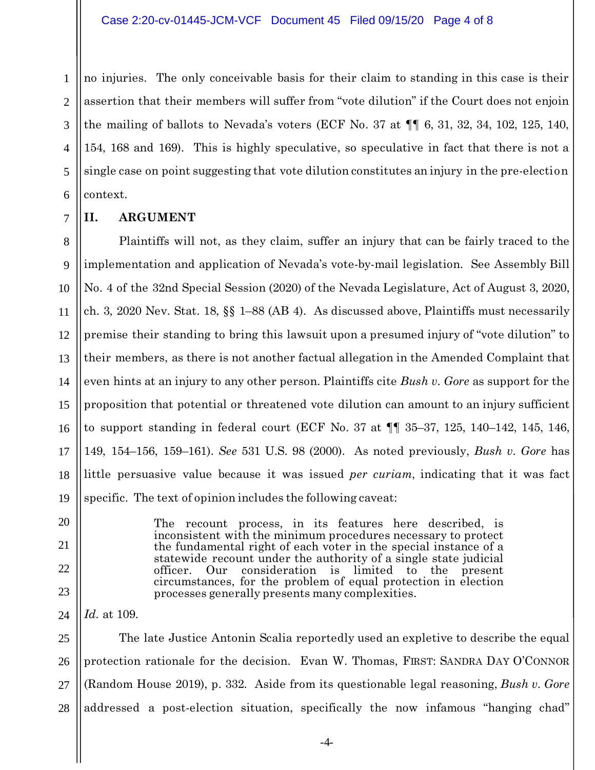1 2 3 4 5 6 no injuries. The only conceivable basis for their claim to standing in this case is their assertion that their members will suffer from "vote dilution" if the Court does not enjoin the mailing of ballots to Nevada's voters (ECF No. 37 at  $\P\P$  6, 31, 32, 34, 102, 125, 140, 154, 168 and 169). This is highly speculative, so speculative in fact that there is not a single case on point suggesting that vote dilution constitutes an injury in the pre-election context.

**II. ARGUMENT**

7

8

9

10

11

12

13

14

15

16

17

18

19

20

21

22

23

24

Plaintiffs will not, as they claim, suffer an injury that can be fairly traced to the implementation and application of Nevada's vote-by-mail legislation. See Assembly Bill No. 4 of the 32nd Special Session (2020) of the Nevada Legislature, Act of August 3, 2020, ch. 3, 2020 Nev. Stat. 18, §§ 1–88 (AB 4). As discussed above, Plaintiffs must necessarily premise their standing to bring this lawsuit upon a presumed injury of "vote dilution" to their members, as there is not another factual allegation in the Amended Complaint that even hints at an injury to any other person. Plaintiffs cite *Bush v. Gore* as support for the proposition that potential or threatened vote dilution can amount to an injury sufficient to support standing in federal court (ECF No. 37 at ¶¶ 35–37, 125, 140–142, 145, 146, 149, 154–156, 159–161). *See* 531 U.S. 98 (2000). As noted previously, *Bush v. Gore* has little persuasive value because it was issued *per curiam*, indicating that it was fact specific. The text of opinion includes the following caveat:

> The recount process, in its features here described, is inconsistent with the minimum procedures necessary to protect the fundamental right of each voter in the special instance of a statewide recount under the authority of a single state judicial officer. Our consideration is limited to the present circumstances, for the problem of equal protection in election processes generally presents many complexities.

*Id*. at 109.

25 26 27 28 The late Justice Antonin Scalia reportedly used an expletive to describe the equal protection rationale for the decision. Evan W. Thomas, FIRST: SANDRA DAY O'CONNOR (Random House 2019), p. 332. Aside from its questionable legal reasoning, *Bush v. Gore* addressed a post-election situation, specifically the now infamous "hanging chad"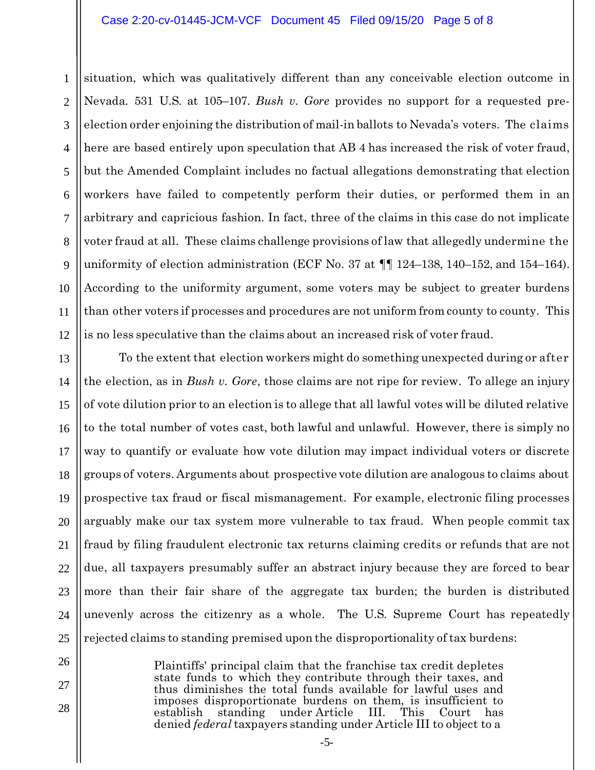#### Case 2:20-cv-01445-JCM-VCF Document 45 Filed 09/15/20 Page 5 of 8

1 2 3 4 5 6 7 8 9 10 11 12 situation, which was qualitatively different than any conceivable election outcome in Nevada. 531 U.S. at 105–107. *Bush v. Gore* provides no support for a requested preelection order enjoining the distribution of mail-in ballots to Nevada's voters. The claims here are based entirely upon speculation that AB 4 has increased the risk of voter fraud, but the Amended Complaint includes no factual allegations demonstrating that election workers have failed to competently perform their duties, or performed them in an arbitrary and capricious fashion. In fact, three of the claims in this case do not implicate voter fraud at all. These claims challenge provisions of law that allegedly undermine the uniformity of election administration (ECF No. 37 at  $\P\P$  124–138, 140–152, and 154–164). According to the uniformity argument, some voters may be subject to greater burdens than other voters if processes and procedures are not uniform from county to county. This is no less speculative than the claims about an increased risk of voter fraud.

13 14 15 16 17 18 19 20 21 22 23 24 25 To the extent that election workers might do something unexpected during or after the election, as in *Bush v. Gore*, those claims are not ripe for review. To allege an injury of vote dilution prior to an election is to allege that all lawful votes will be diluted relative to the total number of votes cast, both lawful and unlawful. However, there is simply no way to quantify or evaluate how vote dilution may impact individual voters or discrete groups of voters. Arguments about prospective vote dilution are analogous to claims about prospective tax fraud or fiscal mismanagement. For example, electronic filing processes arguably make our tax system more vulnerable to tax fraud. When people commit tax fraud by filing fraudulent electronic tax returns claiming credits or refunds that are not due, all taxpayers presumably suffer an abstract injury because they are forced to bear more than their fair share of the aggregate tax burden; the burden is distributed unevenly across the citizenry as a whole. The U.S. Supreme Court has repeatedly rejected claims to standing premised upon the disproportionality of tax burdens:

> Plaintiffs' principal claim that the franchise tax credit depletes state funds to which they contribute through their taxes, and thus diminishes the total funds available for lawful uses and imposes disproportionate burdens on them, is insufficient to establish standing under Article III. denied *federal* taxpayers standing under Article III to object to a

26

27

28

-5-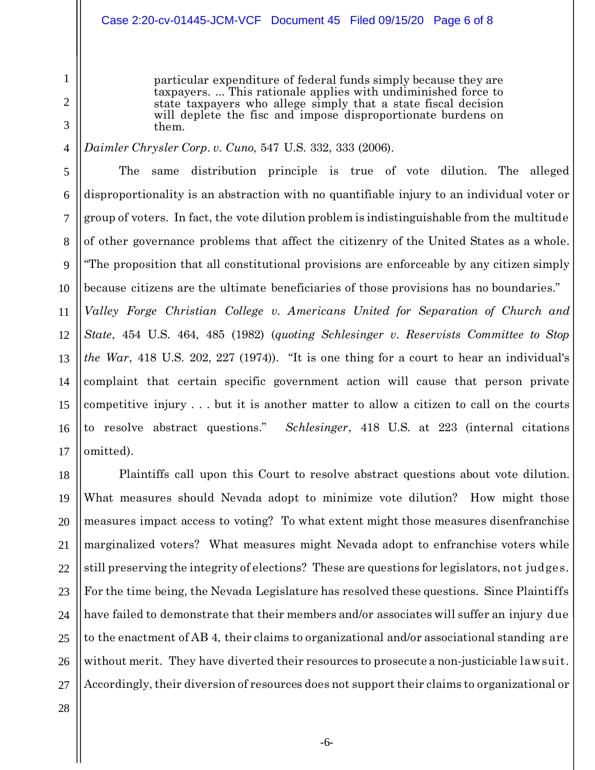### Case 2:20-cv-01445-JCM-VCF Document 45 Filed 09/15/20 Page 6 of 8

particular expenditure of federal funds simply because they are taxpayers. ... This rationale applies with undiminished force to state taxpayers who allege simply that a state fiscal decision will deplete the fisc and impose disproportionate burdens on them.

## *Daimler Chrysler Corp. v. Cuno*, 547 U.S. 332, 333 (2006).

The same distribution principle is true of vote dilution. The alleged disproportionality is an abstraction with no quantifiable injury to an individual voter or group of voters. In fact, the vote dilution problem is indistinguishable from the multitude of other governance problems that affect the citizenry of the United States as a whole. "The proposition that all constitutional provisions are enforceable by any citizen simply because citizens are the ultimate beneficiaries of those provisions has no boundaries." *Valley Forge Christian College v. Americans United for Separation of Church and State*, 454 U.S. 464, 485 (1982) (*quoting Schlesinger v. Reservists Committee to Stop* 

13 14 15 16 17 *the War*, 418 U.S. 202, 227 (1974)). "It is one thing for a court to hear an individual's complaint that certain specific government action will cause that person private competitive injury . . . but it is another matter to allow a citizen to call on the courts to resolve abstract questions." *Schlesinger*, 418 U.S. at 223 (internal citations omitted).

18 19 20 21 22 23 24 25 26 27 Plaintiffs call upon this Court to resolve abstract questions about vote dilution. What measures should Nevada adopt to minimize vote dilution? How might those measures impact access to voting? To what extent might those measures disenfranchise marginalized voters? What measures might Nevada adopt to enfranchise voters while still preserving the integrity of elections? These are questions for legislators, not judges. For the time being, the Nevada Legislature has resolved these questions. Since Plaintiffs have failed to demonstrate that their members and/or associates will suffer an injury due to the enactment of AB 4, their claims to organizational and/or associational standing are without merit. They have diverted their resources to prosecute a non-justiciable lawsuit. Accordingly, their diversion of resources does not support their claims to organizational or

28

1

2

3

4

5

6

7

8

9

10

11

12

-6-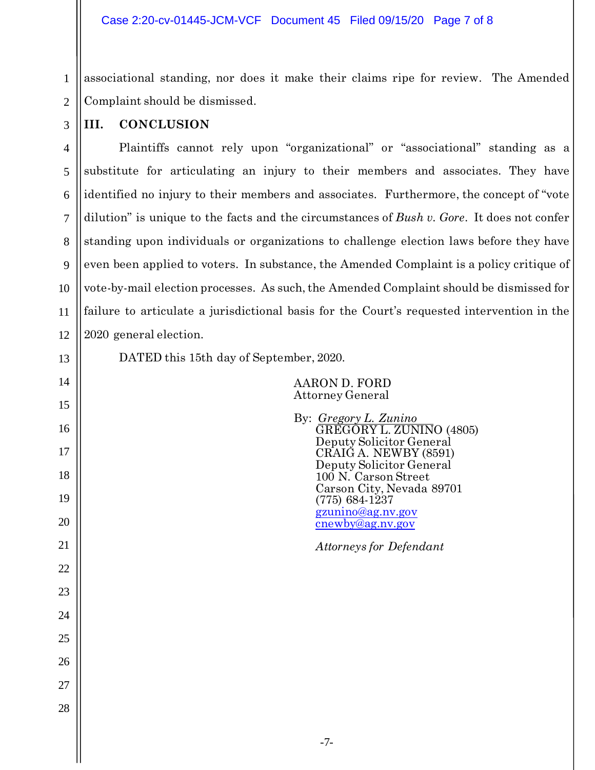1 associational standing, nor does it make their claims ripe for review. The Amended Complaint should be dismissed.

**III. CONCLUSION**

9 10 12 Plaintiffs cannot rely upon "organizational" or "associational" standing as a substitute for articulating an injury to their members and associates. They have identified no injury to their members and associates. Furthermore, the concept of "vote dilution" is unique to the facts and the circumstances of *Bush v. Gore*. It does not confer standing upon individuals or organizations to challenge election laws before they have even been applied to voters. In substance, the Amended Complaint is a policy critique of vote-by-mail election processes. As such, the Amended Complaint should be dismissed for failure to articulate a jurisdictional basis for the Court's requested intervention in the 2020 general election.

13

14

15

16

17

18

19

20

21

22

23

24

25

26

27

28

11

AARON D. FORD Attorney General

DATED this 15th day of September, 2020.